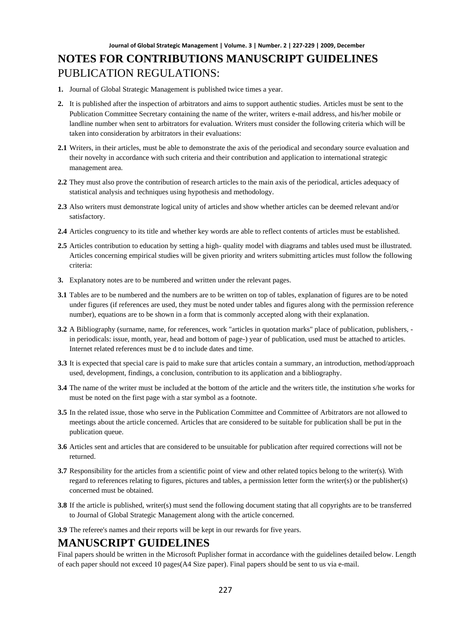- **1.** Journal of Global Strategic Management is published twice times a year.
- **2.** It is published after the inspection of arbitrators and aims to support authentic studies. Articles must be sent to the Publication Committee Secretary containing the name of the writer, writers e-mail address, and his/her mobile or landline number when sent to arbitrators for evaluation. Writers must consider the following criteria which will be taken into consideration by arbitrators in their evaluations:
- **2.1** Writers, in their articles, must be able to demonstrate the axis of the periodical and secondary source evaluation and their novelty in accordance with such criteria and their contribution and application to international strategic management area.
- **2.2** They must also prove the contribution of research articles to the main axis of the periodical, articles adequacy of statistical analysis and techniques using hypothesis and methodology.
- **2.3** Also writers must demonstrate logical unity of articles and show whether articles can be deemed relevant and/or satisfactory.
- **2.4** Articles congruency to its title and whether key words are able to reflect contents of articles must be established.
- **2.5** Articles contribution to education by setting a high- quality model with diagrams and tables used must be illustrated. Articles concerning empirical studies will be given priority and writers submitting articles must follow the following criteria:
- **3.** Explanatory notes are to be numbered and written under the relevant pages.
- **3.1** Tables are to be numbered and the numbers are to be written on top of tables, explanation of figures are to be noted under figures (if references are used, they must be noted under tables and figures along with the permission reference number), equations are to be shown in a form that is commonly accepted along with their explanation.
- **3.2** A Bibliography (surname, name, for references, work "articles in quotation marks" place of publication, publishers, in periodicals: issue, month, year, head and bottom of page-) year of publication, used must be attached to articles. Internet related references must be d to include dates and time.
- **3.3** It is expected that special care is paid to make sure that articles contain a summary, an introduction, method/approach used, development, findings, a conclusion, contribution to its application and a bibliography.
- **3.4** The name of the writer must be included at the bottom of the article and the writers title, the institution s/he works for must be noted on the first page with a star symbol as a footnote.
- **3.5** In the related issue, those who serve in the Publication Committee and Committee of Arbitrators are not allowed to meetings about the article concerned. Articles that are considered to be suitable for publication shall be put in the publication queue.
- **3.6** Articles sent and articles that are considered to be unsuitable for publication after required corrections will not be returned.
- **3.7** Responsibility for the articles from a scientific point of view and other related topics belong to the writer(s). With regard to references relating to figures, pictures and tables, a permission letter form the writer(s) or the publisher(s) concerned must be obtained.
- **3.8** If the article is published, writer(s) must send the following document stating that all copyrights are to be transferred to Journal of Global Strategic Management along with the article concerned.
- **3.9** The referee's names and their reports will be kept in our rewards for five years.

### **MANUSCRIPT GUIDELINES**

Final papers should be written in the Microsoft Puplisher format in accordance with the guidelines detailed below. Length of each paper should not exceed 10 pages(A4 Size paper). Final papers should be sent to us via e-mail.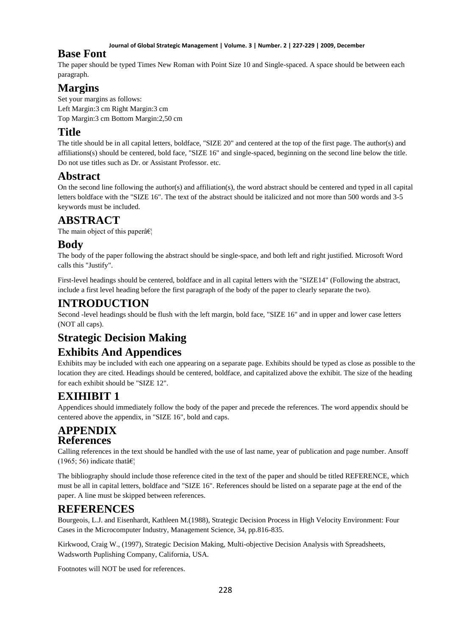#### **Journal of Global Strategic Management | Volume. 3 | Number. 2 | 227-229 | 2009, December**

### **Base Font**

The paper should be typed Times New Roman with Point Size 10 and Single-spaced. A space should be between each paragraph.

# **Margins**

Set your margins as follows: Left Margin:3 cm Right Margin:3 cm Top Margin:3 cm Bottom Margin:2,50 cm

# **Title**

The title should be in all capital letters, boldface, "SIZE 20" and centered at the top of the first page. The author(s) and affiliations(s) should be centered, bold face, "SIZE 16" and single-spaced, beginning on the second line below the title. Do not use titles such as Dr. or Assistant Professor. etc.

## **Abstract**

On the second line following the author(s) and affiliation(s), the word abstract should be centered and typed in all capital letters boldface with the "SIZE 16". The text of the abstract should be italicized and not more than 500 words and 3-5 keywords must be included.

## **ABSTRACT**

The main object of this paper $\hat{a} \in \mathcal{C}_1$ 

### **Body**

The body of the paper following the abstract should be single-space, and both left and right justified. Microsoft Word calls this "Justify".

First-level headings should be centered, boldface and in all capital letters with the "SIZE14" (Following the abstract, include a first level heading before the first paragraph of the body of the paper to clearly separate the two).

### **INTRODUCTION**

Second -level headings should be flush with the left margin, bold face, "SIZE 16" and in upper and lower case letters (NOT all caps).

# **Strategic Decision Making**

# **Exhibits And Appendices**

Exhibits may be included with each one appearing on a separate page. Exhibits should be typed as close as possible to the location they are cited. Headings should be centered, boldface, and capitalized above the exhibit. The size of the heading for each exhibit should be "SIZE 12".

# **EXIHIBIT 1**

Appendices should immediately follow the body of the paper and precede the references. The word appendix should be centered above the appendix, in "SIZE 16", bold and caps.

### **APPENDIX References**

Calling references in the text should be handled with the use of last name, year of publication and page number. Ansoff (1965; 56) indicate that  $\hat{\mathbf{a}} \in \mathbb{R}^n$ 

The bibliography should include those reference cited in the text of the paper and should be titled REFERENCE, which must be all in capital letters, boldface and "SIZE 16". References should be listed on a separate page at the end of the paper. A line must be skipped between references.

# **REFERENCES**

Bourgeois, L.J. and Eisenhardt, Kathleen M.(1988), Strategic Decision Process in High Velocity Environment: Four Cases in the Microcomputer Industry, Management Science, 34, pp.816-835.

Kirkwood, Craig W., (1997), Strategic Decision Making, Multi-objective Decision Analysis with Spreadsheets, Wadsworth Puplishing Company, California, USA.

Footnotes will NOT be used for references.